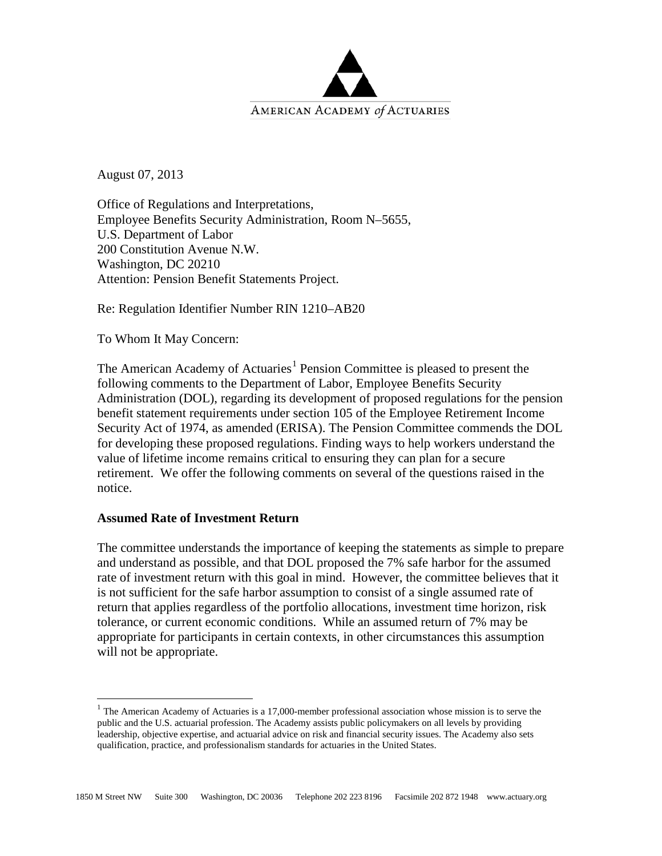

August 07, 2013

Office of Regulations and Interpretations, Employee Benefits Security Administration, Room N–5655, U.S. Department of Labor 200 Constitution Avenue N.W. Washington, DC 20210 Attention: Pension Benefit Statements Project.

Re: Regulation Identifier Number RIN 1210–AB20

To Whom It May Concern:

The American Academy of Actuaries<sup>[1](#page-0-0)</sup> Pension Committee is pleased to present the following comments to the Department of Labor, Employee Benefits Security Administration (DOL), regarding its development of proposed regulations for the pension benefit statement requirements under section 105 of the Employee Retirement Income Security Act of 1974, as amended (ERISA). The Pension Committee commends the DOL for developing these proposed regulations. Finding ways to help workers understand the value of lifetime income remains critical to ensuring they can plan for a secure retirement. We offer the following comments on several of the questions raised in the notice.

#### **Assumed Rate of Investment Return**

The committee understands the importance of keeping the statements as simple to prepare and understand as possible, and that DOL proposed the 7% safe harbor for the assumed rate of investment return with this goal in mind. However, the committee believes that it is not sufficient for the safe harbor assumption to consist of a single assumed rate of return that applies regardless of the portfolio allocations, investment time horizon, risk tolerance, or current economic conditions. While an assumed return of 7% may be appropriate for participants in certain contexts, in other circumstances this assumption will not be appropriate.

<span id="page-0-0"></span><sup>&</sup>lt;sup>1</sup> The American Academy of Actuaries is a 17,000-member professional association whose mission is to serve the public and the U.S. actuarial profession. The Academy assists public policymakers on all levels by providing leadership, objective expertise, and actuarial advice on risk and financial security issues. The Academy also sets qualification, practice, and professionalism standards for actuaries in the United States.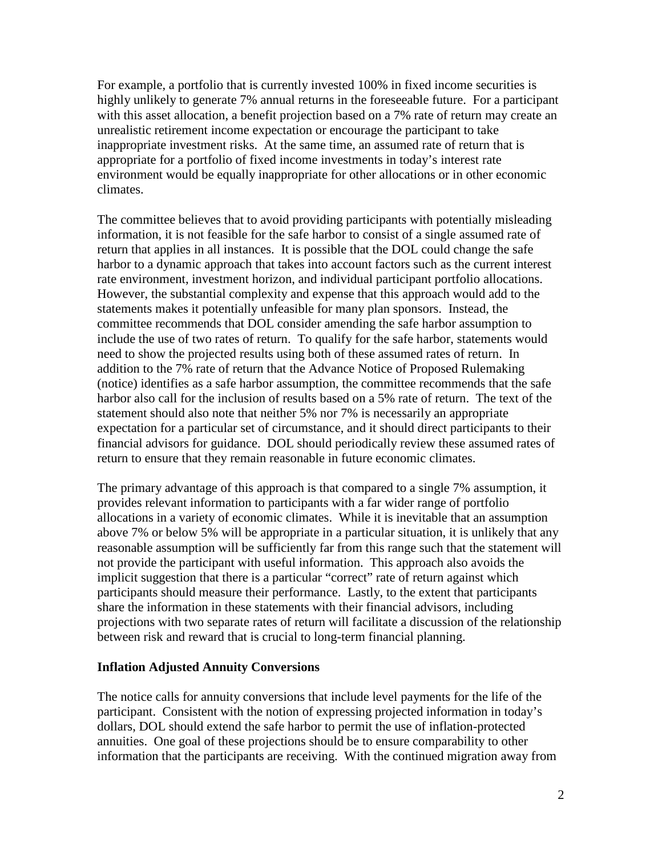For example, a portfolio that is currently invested 100% in fixed income securities is highly unlikely to generate 7% annual returns in the foreseeable future. For a participant with this asset allocation, a benefit projection based on a 7% rate of return may create an unrealistic retirement income expectation or encourage the participant to take inappropriate investment risks. At the same time, an assumed rate of return that is appropriate for a portfolio of fixed income investments in today's interest rate environment would be equally inappropriate for other allocations or in other economic climates.

The committee believes that to avoid providing participants with potentially misleading information, it is not feasible for the safe harbor to consist of a single assumed rate of return that applies in all instances. It is possible that the DOL could change the safe harbor to a dynamic approach that takes into account factors such as the current interest rate environment, investment horizon, and individual participant portfolio allocations. However, the substantial complexity and expense that this approach would add to the statements makes it potentially unfeasible for many plan sponsors. Instead, the committee recommends that DOL consider amending the safe harbor assumption to include the use of two rates of return. To qualify for the safe harbor, statements would need to show the projected results using both of these assumed rates of return. In addition to the 7% rate of return that the Advance Notice of Proposed Rulemaking (notice) identifies as a safe harbor assumption, the committee recommends that the safe harbor also call for the inclusion of results based on a 5% rate of return. The text of the statement should also note that neither 5% nor 7% is necessarily an appropriate expectation for a particular set of circumstance, and it should direct participants to their financial advisors for guidance. DOL should periodically review these assumed rates of return to ensure that they remain reasonable in future economic climates.

The primary advantage of this approach is that compared to a single 7% assumption, it provides relevant information to participants with a far wider range of portfolio allocations in a variety of economic climates. While it is inevitable that an assumption above 7% or below 5% will be appropriate in a particular situation, it is unlikely that any reasonable assumption will be sufficiently far from this range such that the statement will not provide the participant with useful information. This approach also avoids the implicit suggestion that there is a particular "correct" rate of return against which participants should measure their performance. Lastly, to the extent that participants share the information in these statements with their financial advisors, including projections with two separate rates of return will facilitate a discussion of the relationship between risk and reward that is crucial to long-term financial planning.

#### **Inflation Adjusted Annuity Conversions**

The notice calls for annuity conversions that include level payments for the life of the participant. Consistent with the notion of expressing projected information in today's dollars, DOL should extend the safe harbor to permit the use of inflation-protected annuities. One goal of these projections should be to ensure comparability to other information that the participants are receiving. With the continued migration away from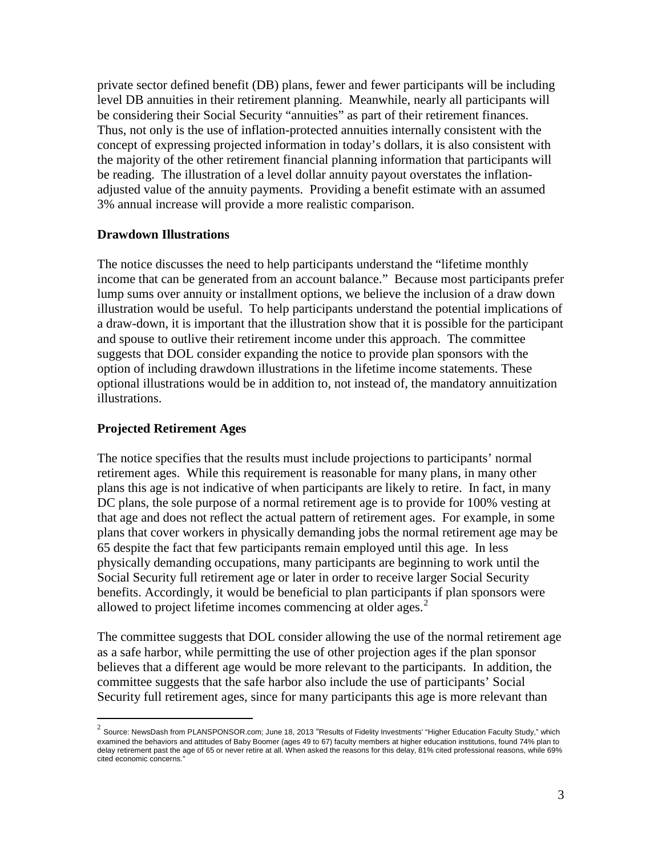private sector defined benefit (DB) plans, fewer and fewer participants will be including level DB annuities in their retirement planning. Meanwhile, nearly all participants will be considering their Social Security "annuities" as part of their retirement finances. Thus, not only is the use of inflation-protected annuities internally consistent with the concept of expressing projected information in today's dollars, it is also consistent with the majority of the other retirement financial planning information that participants will be reading. The illustration of a level dollar annuity payout overstates the inflationadjusted value of the annuity payments. Providing a benefit estimate with an assumed 3% annual increase will provide a more realistic comparison.

#### **Drawdown Illustrations**

The notice discusses the need to help participants understand the "lifetime monthly income that can be generated from an account balance." Because most participants prefer lump sums over annuity or installment options, we believe the inclusion of a draw down illustration would be useful. To help participants understand the potential implications of a draw-down, it is important that the illustration show that it is possible for the participant and spouse to outlive their retirement income under this approach. The committee suggests that DOL consider expanding the notice to provide plan sponsors with the option of including drawdown illustrations in the lifetime income statements. These optional illustrations would be in addition to, not instead of, the mandatory annuitization illustrations.

#### **Projected Retirement Ages**

The notice specifies that the results must include projections to participants' normal retirement ages. While this requirement is reasonable for many plans, in many other plans this age is not indicative of when participants are likely to retire. In fact, in many DC plans, the sole purpose of a normal retirement age is to provide for 100% vesting at that age and does not reflect the actual pattern of retirement ages. For example, in some plans that cover workers in physically demanding jobs the normal retirement age may be 65 despite the fact that few participants remain employed until this age. In less physically demanding occupations, many participants are beginning to work until the Social Security full retirement age or later in order to receive larger Social Security benefits. Accordingly, it would be beneficial to plan participants if plan sponsors were allowed to project lifetime incomes commencing at older ages. [2](#page-2-0)

The committee suggests that DOL consider allowing the use of the normal retirement age as a safe harbor, while permitting the use of other projection ages if the plan sponsor believes that a different age would be more relevant to the participants. In addition, the committee suggests that the safe harbor also include the use of participants' Social Security full retirement ages, since for many participants this age is more relevant than

<span id="page-2-0"></span> $2$  Source: NewsDash from PLANSPONSOR.com; June 18, 2013 "Results of Fidelity Investments' "Higher Education Faculty Study," which examined the behaviors and attitudes of Baby Boomer (ages 49 to 67) faculty members at higher education institutions, found 74% plan to delay retirement past the age of 65 or never retire at all. When asked the reasons for this delay, 81% cited professional reasons, while 69% cited economic concerns."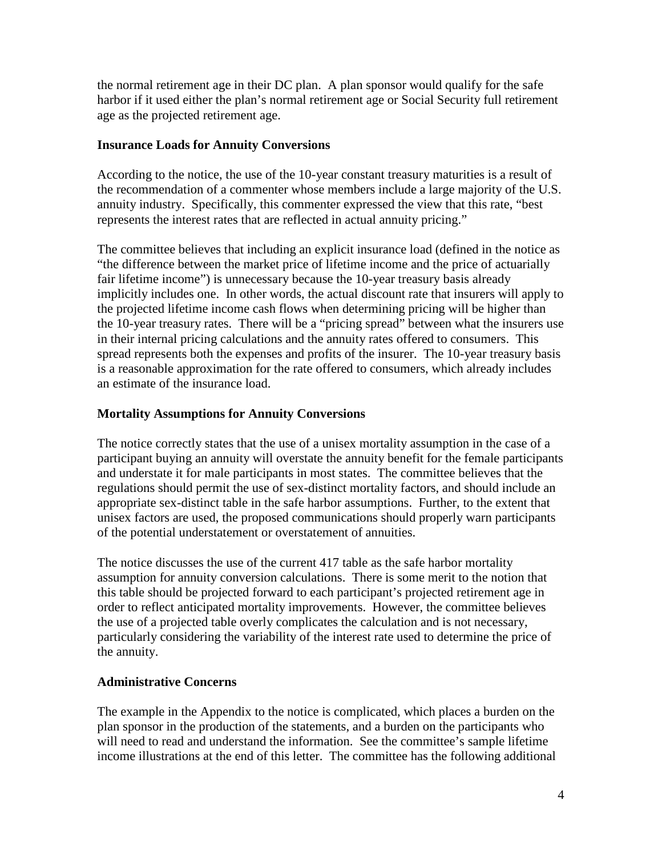the normal retirement age in their DC plan. A plan sponsor would qualify for the safe harbor if it used either the plan's normal retirement age or Social Security full retirement age as the projected retirement age.

## **Insurance Loads for Annuity Conversions**

According to the notice, the use of the 10-year constant treasury maturities is a result of the recommendation of a commenter whose members include a large majority of the U.S. annuity industry. Specifically, this commenter expressed the view that this rate, "best represents the interest rates that are reflected in actual annuity pricing."

The committee believes that including an explicit insurance load (defined in the notice as "the difference between the market price of lifetime income and the price of actuarially fair lifetime income") is unnecessary because the 10-year treasury basis already implicitly includes one. In other words, the actual discount rate that insurers will apply to the projected lifetime income cash flows when determining pricing will be higher than the 10-year treasury rates. There will be a "pricing spread" between what the insurers use in their internal pricing calculations and the annuity rates offered to consumers. This spread represents both the expenses and profits of the insurer. The 10-year treasury basis is a reasonable approximation for the rate offered to consumers, which already includes an estimate of the insurance load.

## **Mortality Assumptions for Annuity Conversions**

The notice correctly states that the use of a unisex mortality assumption in the case of a participant buying an annuity will overstate the annuity benefit for the female participants and understate it for male participants in most states. The committee believes that the regulations should permit the use of sex-distinct mortality factors, and should include an appropriate sex-distinct table in the safe harbor assumptions. Further, to the extent that unisex factors are used, the proposed communications should properly warn participants of the potential understatement or overstatement of annuities.

The notice discusses the use of the current 417 table as the safe harbor mortality assumption for annuity conversion calculations. There is some merit to the notion that this table should be projected forward to each participant's projected retirement age in order to reflect anticipated mortality improvements. However, the committee believes the use of a projected table overly complicates the calculation and is not necessary, particularly considering the variability of the interest rate used to determine the price of the annuity.

## **Administrative Concerns**

The example in the Appendix to the notice is complicated, which places a burden on the plan sponsor in the production of the statements, and a burden on the participants who will need to read and understand the information. See the committee's sample lifetime income illustrations at the end of this letter. The committee has the following additional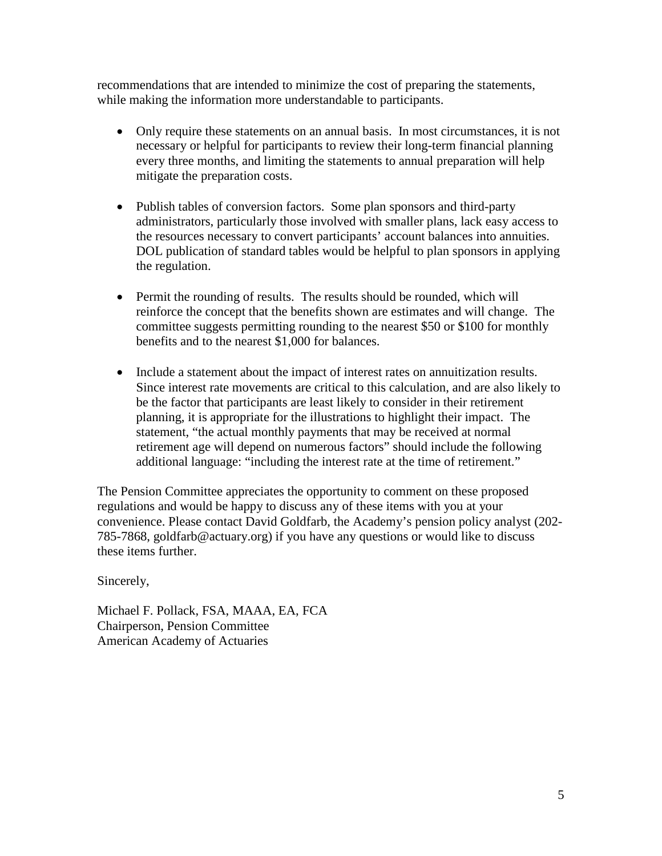recommendations that are intended to minimize the cost of preparing the statements, while making the information more understandable to participants.

- Only require these statements on an annual basis. In most circumstances, it is not necessary or helpful for participants to review their long-term financial planning every three months, and limiting the statements to annual preparation will help mitigate the preparation costs.
- Publish tables of conversion factors. Some plan sponsors and third-party administrators, particularly those involved with smaller plans, lack easy access to the resources necessary to convert participants' account balances into annuities. DOL publication of standard tables would be helpful to plan sponsors in applying the regulation.
- Permit the rounding of results. The results should be rounded, which will reinforce the concept that the benefits shown are estimates and will change. The committee suggests permitting rounding to the nearest \$50 or \$100 for monthly benefits and to the nearest \$1,000 for balances.
- Include a statement about the impact of interest rates on annuitization results. Since interest rate movements are critical to this calculation, and are also likely to be the factor that participants are least likely to consider in their retirement planning, it is appropriate for the illustrations to highlight their impact. The statement, "the actual monthly payments that may be received at normal retirement age will depend on numerous factors" should include the following additional language: "including the interest rate at the time of retirement."

The Pension Committee appreciates the opportunity to comment on these proposed regulations and would be happy to discuss any of these items with you at your convenience. Please contact David Goldfarb, the Academy's pension policy analyst (202- 785-7868, goldfarb@actuary.org) if you have any questions or would like to discuss these items further.

#### Sincerely,

Michael F. Pollack, FSA, MAAA, EA, FCA Chairperson, Pension Committee American Academy of Actuaries